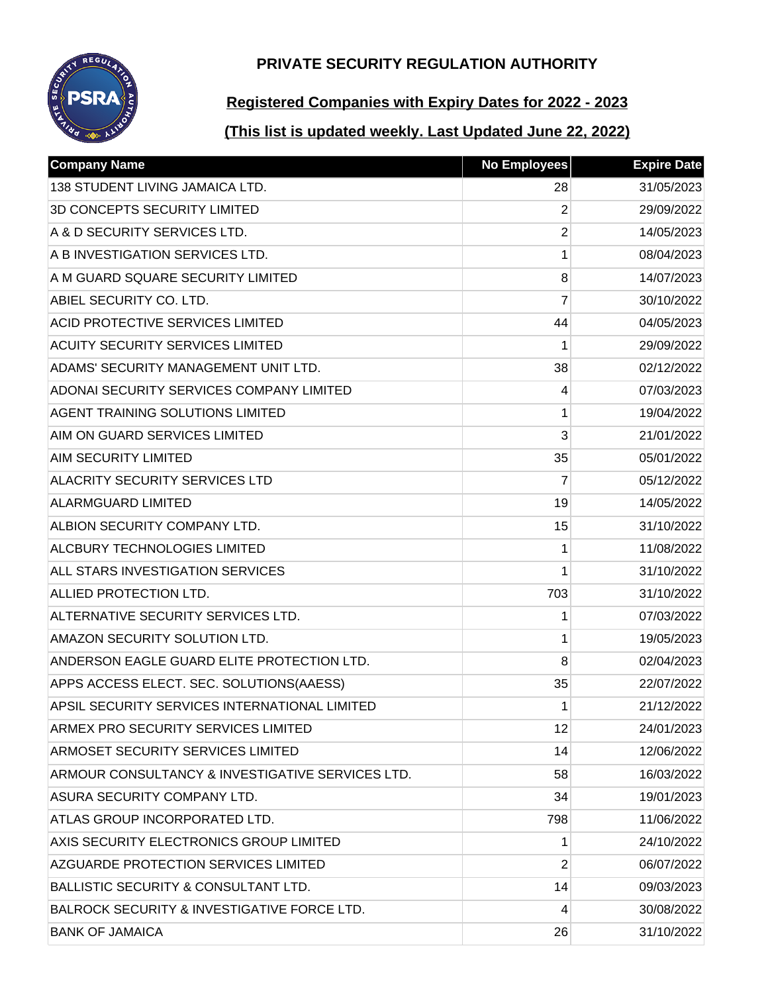

# **Registered Companies with Expiry Dates for 2022 - 2023**

| <b>Company Name</b>                                    | <b>No Employees</b> | <b>Expire Date</b> |
|--------------------------------------------------------|---------------------|--------------------|
| <b>138 STUDENT LIVING JAMAICA LTD.</b>                 | 28                  | 31/05/2023         |
| 3D CONCEPTS SECURITY LIMITED                           | $\overline{2}$      | 29/09/2022         |
| A & D SECURITY SERVICES LTD.                           | $\overline{2}$      | 14/05/2023         |
| A B INVESTIGATION SERVICES LTD.                        | 1                   | 08/04/2023         |
| A M GUARD SQUARE SECURITY LIMITED                      | 8                   | 14/07/2023         |
| ABIEL SECURITY CO. LTD.                                | 7                   | 30/10/2022         |
| <b>ACID PROTECTIVE SERVICES LIMITED</b>                | 44                  | 04/05/2023         |
| <b>ACUITY SECURITY SERVICES LIMITED</b>                | 1                   | 29/09/2022         |
| ADAMS' SECURITY MANAGEMENT UNIT LTD.                   | 38                  | 02/12/2022         |
| ADONAI SECURITY SERVICES COMPANY LIMITED               | 4                   | 07/03/2023         |
| <b>AGENT TRAINING SOLUTIONS LIMITED</b>                | 1                   | 19/04/2022         |
| AIM ON GUARD SERVICES LIMITED                          | 3                   | 21/01/2022         |
| <b>AIM SECURITY LIMITED</b>                            | 35                  | 05/01/2022         |
| <b>ALACRITY SECURITY SERVICES LTD</b>                  | 7                   | 05/12/2022         |
| <b>ALARMGUARD LIMITED</b>                              | 19                  | 14/05/2022         |
| ALBION SECURITY COMPANY LTD.                           | 15                  | 31/10/2022         |
| <b>ALCBURY TECHNOLOGIES LIMITED</b>                    | 1                   | 11/08/2022         |
| ALL STARS INVESTIGATION SERVICES                       | 1                   | 31/10/2022         |
| ALLIED PROTECTION LTD.                                 | 703                 | 31/10/2022         |
| ALTERNATIVE SECURITY SERVICES LTD.                     | 1                   | 07/03/2022         |
| AMAZON SECURITY SOLUTION LTD.                          | 1                   | 19/05/2023         |
| ANDERSON EAGLE GUARD ELITE PROTECTION LTD.             | 8                   | 02/04/2023         |
| APPS ACCESS ELECT. SEC. SOLUTIONS(AAESS)               | 35                  | 22/07/2022         |
| APSIL SECURITY SERVICES INTERNATIONAL LIMITED          | 1                   | 21/12/2022         |
| ARMEX PRO SECURITY SERVICES LIMITED                    | 12                  | 24/01/2023         |
| ARMOSET SECURITY SERVICES LIMITED                      | 14                  | 12/06/2022         |
| ARMOUR CONSULTANCY & INVESTIGATIVE SERVICES LTD.       | 58                  | 16/03/2022         |
| ASURA SECURITY COMPANY LTD.                            | 34                  | 19/01/2023         |
| ATLAS GROUP INCORPORATED LTD.                          | 798                 | 11/06/2022         |
| AXIS SECURITY ELECTRONICS GROUP LIMITED                | 1                   | 24/10/2022         |
| AZGUARDE PROTECTION SERVICES LIMITED                   | 2                   | 06/07/2022         |
| <b>BALLISTIC SECURITY &amp; CONSULTANT LTD.</b>        | 14                  | 09/03/2023         |
| <b>BALROCK SECURITY &amp; INVESTIGATIVE FORCE LTD.</b> | 4                   | 30/08/2022         |
| <b>BANK OF JAMAICA</b>                                 | 26                  | 31/10/2022         |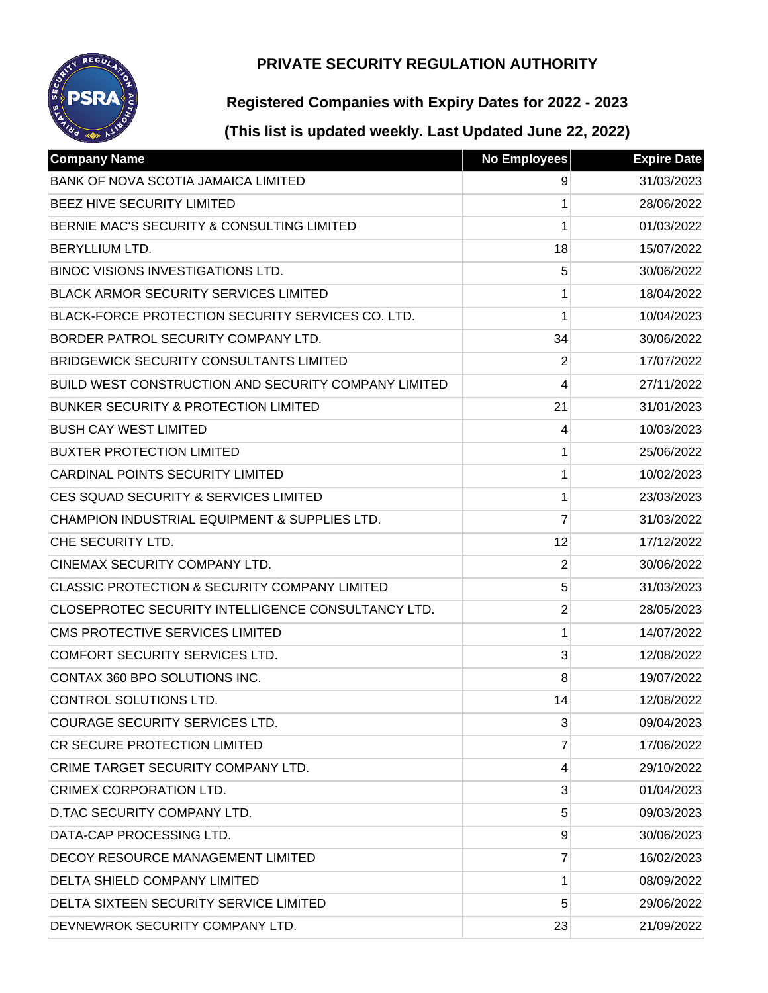# **REGU**

## **PRIVATE SECURITY REGULATION AUTHORITY**

# **Registered Companies with Expiry Dates for 2022 - 2023**

| <b>Company Name</b>                                      | <b>No Employees</b> | <b>Expire Date</b> |
|----------------------------------------------------------|---------------------|--------------------|
| BANK OF NOVA SCOTIA JAMAICA LIMITED                      | 9                   | 31/03/2023         |
| BEEZ HIVE SECURITY LIMITED                               | 1                   | 28/06/2022         |
| BERNIE MAC'S SECURITY & CONSULTING LIMITED               | 1                   | 01/03/2022         |
| BERYLLIUM LTD.                                           | 18                  | 15/07/2022         |
| <b>BINOC VISIONS INVESTIGATIONS LTD.</b>                 | 5                   | 30/06/2022         |
| <b>BLACK ARMOR SECURITY SERVICES LIMITED</b>             | 1                   | 18/04/2022         |
| BLACK-FORCE PROTECTION SECURITY SERVICES CO. LTD.        | 1                   | 10/04/2023         |
| BORDER PATROL SECURITY COMPANY LTD.                      | 34                  | 30/06/2022         |
| <b>BRIDGEWICK SECURITY CONSULTANTS LIMITED</b>           | $\overline{2}$      | 17/07/2022         |
| BUILD WEST CONSTRUCTION AND SECURITY COMPANY LIMITED     | 4                   | 27/11/2022         |
| <b>BUNKER SECURITY &amp; PROTECTION LIMITED</b>          | 21                  | 31/01/2023         |
| <b>BUSH CAY WEST LIMITED</b>                             | 4                   | 10/03/2023         |
| <b>BUXTER PROTECTION LIMITED</b>                         | 1                   | 25/06/2022         |
| <b>CARDINAL POINTS SECURITY LIMITED</b>                  | 1                   | 10/02/2023         |
| CES SQUAD SECURITY & SERVICES LIMITED                    | 1                   | 23/03/2023         |
| CHAMPION INDUSTRIAL EQUIPMENT & SUPPLIES LTD.            | 7                   | 31/03/2022         |
| CHE SECURITY LTD.                                        | 12                  | 17/12/2022         |
| CINEMAX SECURITY COMPANY LTD.                            | $\overline{2}$      | 30/06/2022         |
| <b>CLASSIC PROTECTION &amp; SECURITY COMPANY LIMITED</b> | 5                   | 31/03/2023         |
| CLOSEPROTEC SECURITY INTELLIGENCE CONSULTANCY LTD.       | $\overline{2}$      | 28/05/2023         |
| CMS PROTECTIVE SERVICES LIMITED                          | 1                   | 14/07/2022         |
| <b>COMFORT SECURITY SERVICES LTD.</b>                    | 3                   | 12/08/2022         |
| CONTAX 360 BPO SOLUTIONS INC.                            | 8                   | 19/07/2022         |
| <b>CONTROL SOLUTIONS LTD.</b>                            | 14                  | 12/08/2022         |
| <b>COURAGE SECURITY SERVICES LTD.</b>                    | 3                   | 09/04/2023         |
| CR SECURE PROTECTION LIMITED                             | 7                   | 17/06/2022         |
| CRIME TARGET SECURITY COMPANY LTD.                       | 4                   | 29/10/2022         |
| CRIMEX CORPORATION LTD.                                  | 3                   | 01/04/2023         |
| D.TAC SECURITY COMPANY LTD.                              | 5                   | 09/03/2023         |
| DATA-CAP PROCESSING LTD.                                 | 9                   | 30/06/2023         |
| DECOY RESOURCE MANAGEMENT LIMITED                        | 7                   | 16/02/2023         |
| <b>DELTA SHIELD COMPANY LIMITED</b>                      | 1                   | 08/09/2022         |
| DELTA SIXTEEN SECURITY SERVICE LIMITED                   | 5                   | 29/06/2022         |
| DEVNEWROK SECURITY COMPANY LTD.                          | 23                  | 21/09/2022         |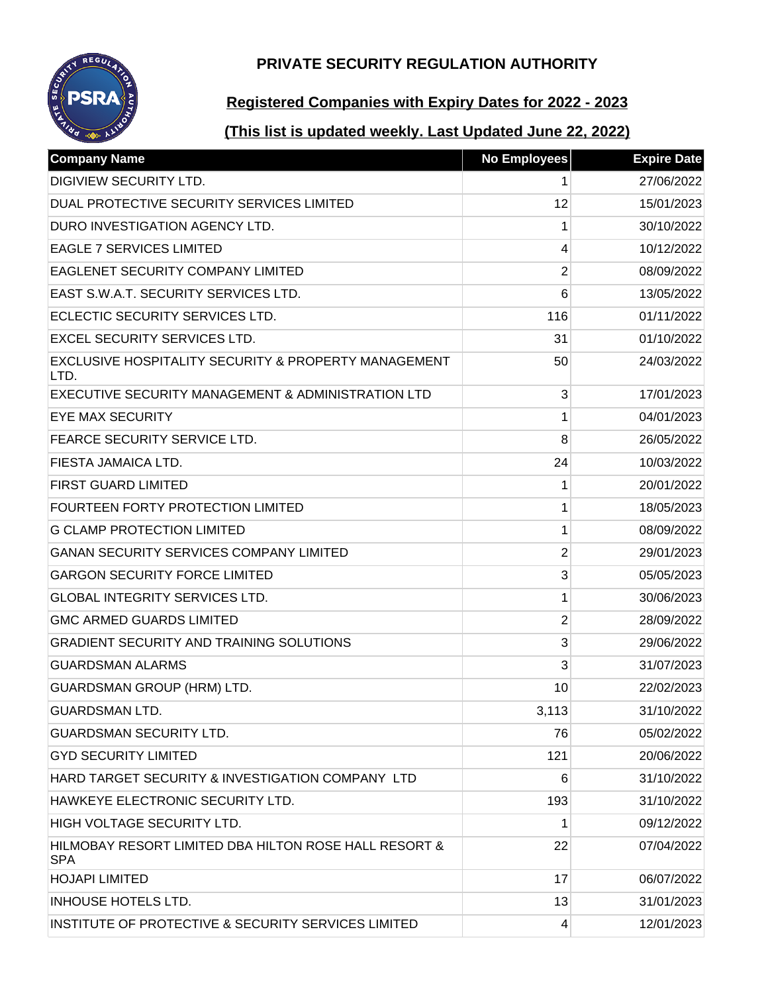

# **Registered Companies with Expiry Dates for 2022 - 2023**

| <b>Company Name</b>                                                 | <b>No Employees</b> | <b>Expire Date</b> |
|---------------------------------------------------------------------|---------------------|--------------------|
| <b>DIGIVIEW SECURITY LTD.</b>                                       | 1                   | 27/06/2022         |
| DUAL PROTECTIVE SECURITY SERVICES LIMITED                           | 12                  | 15/01/2023         |
| DURO INVESTIGATION AGENCY LTD.                                      | 1                   | 30/10/2022         |
| <b>EAGLE 7 SERVICES LIMITED</b>                                     | 4                   | 10/12/2022         |
| EAGLENET SECURITY COMPANY LIMITED                                   | 2                   | 08/09/2022         |
| EAST S.W.A.T. SECURITY SERVICES LTD.                                | 6                   | 13/05/2022         |
| ECLECTIC SECURITY SERVICES LTD.                                     | 116                 | 01/11/2022         |
| <b>EXCEL SECURITY SERVICES LTD.</b>                                 | 31                  | 01/10/2022         |
| EXCLUSIVE HOSPITALITY SECURITY & PROPERTY MANAGEMENT<br>LTD.        | 50                  | 24/03/2022         |
| EXECUTIVE SECURITY MANAGEMENT & ADMINISTRATION LTD                  | 3                   | 17/01/2023         |
| <b>EYE MAX SECURITY</b>                                             | 1                   | 04/01/2023         |
| FEARCE SECURITY SERVICE LTD.                                        | 8                   | 26/05/2022         |
| FIESTA JAMAICA LTD.                                                 | 24                  | 10/03/2022         |
| <b>FIRST GUARD LIMITED</b>                                          | 1                   | 20/01/2022         |
| <b>FOURTEEN FORTY PROTECTION LIMITED</b>                            | 1                   | 18/05/2023         |
| <b>G CLAMP PROTECTION LIMITED</b>                                   | 1                   | 08/09/2022         |
| <b>GANAN SECURITY SERVICES COMPANY LIMITED</b>                      | $\overline{2}$      | 29/01/2023         |
| <b>GARGON SECURITY FORCE LIMITED</b>                                | 3                   | 05/05/2023         |
| <b>GLOBAL INTEGRITY SERVICES LTD.</b>                               | 1                   | 30/06/2023         |
| <b>GMC ARMED GUARDS LIMITED</b>                                     | 2                   | 28/09/2022         |
| <b>GRADIENT SECURITY AND TRAINING SOLUTIONS</b>                     | 3                   | 29/06/2022         |
| <b>GUARDSMAN ALARMS</b>                                             | 3                   | 31/07/2023         |
| <b>GUARDSMAN GROUP (HRM) LTD.</b>                                   | 10                  | 22/02/2023         |
| <b>GUARDSMAN LTD.</b>                                               | 3,113               | 31/10/2022         |
| <b>GUARDSMAN SECURITY LTD.</b>                                      | 76                  | 05/02/2022         |
| <b>GYD SECURITY LIMITED</b>                                         | 121                 | 20/06/2022         |
| HARD TARGET SECURITY & INVESTIGATION COMPANY LTD                    | 6                   | 31/10/2022         |
| HAWKEYE ELECTRONIC SECURITY LTD.                                    | 193                 | 31/10/2022         |
| HIGH VOLTAGE SECURITY LTD.                                          | 1                   | 09/12/2022         |
| HILMOBAY RESORT LIMITED DBA HILTON ROSE HALL RESORT &<br><b>SPA</b> | 22                  | 07/04/2022         |
| <b>HOJAPI LIMITED</b>                                               | 17                  | 06/07/2022         |
| <b>INHOUSE HOTELS LTD.</b>                                          | 13                  | 31/01/2023         |
| INSTITUTE OF PROTECTIVE & SECURITY SERVICES LIMITED                 | 4                   | 12/01/2023         |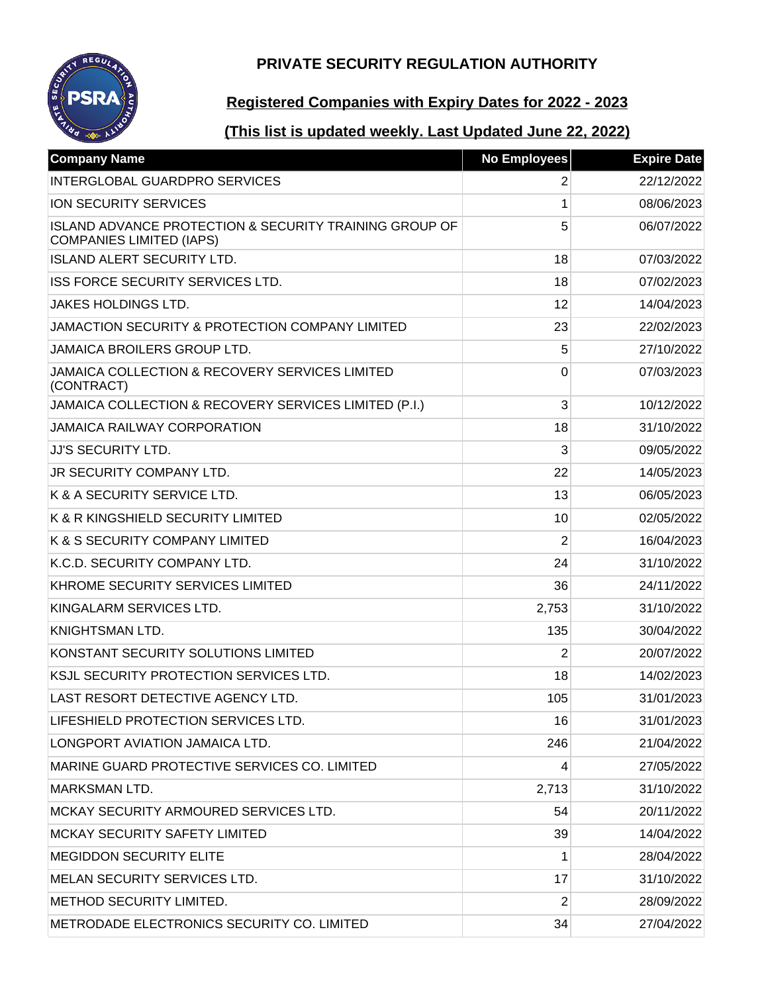

# **Registered Companies with Expiry Dates for 2022 - 2023**

| <b>Company Name</b>                                                                                  | <b>No Employees</b> | <b>Expire Date</b> |
|------------------------------------------------------------------------------------------------------|---------------------|--------------------|
| <b>INTERGLOBAL GUARDPRO SERVICES</b>                                                                 | 2                   | 22/12/2022         |
| ION SECURITY SERVICES                                                                                | 1                   | 08/06/2023         |
| <b>ISLAND ADVANCE PROTECTION &amp; SECURITY TRAINING GROUP OF</b><br><b>COMPANIES LIMITED (IAPS)</b> | 5                   | 06/07/2022         |
| <b>ISLAND ALERT SECURITY LTD.</b>                                                                    | 18                  | 07/03/2022         |
| ISS FORCE SECURITY SERVICES LTD.                                                                     | 18                  | 07/02/2023         |
| <b>JAKES HOLDINGS LTD.</b>                                                                           | 12                  | 14/04/2023         |
| JAMACTION SECURITY & PROTECTION COMPANY LIMITED                                                      | 23                  | 22/02/2023         |
| JAMAICA BROILERS GROUP LTD.                                                                          | 5                   | 27/10/2022         |
| JAMAICA COLLECTION & RECOVERY SERVICES LIMITED<br>(CONTRACT)                                         | 0                   | 07/03/2023         |
| JAMAICA COLLECTION & RECOVERY SERVICES LIMITED (P.I.)                                                | 3                   | 10/12/2022         |
| <b>JAMAICA RAILWAY CORPORATION</b>                                                                   | 18                  | 31/10/2022         |
| <b>JJ'S SECURITY LTD.</b>                                                                            | 3                   | 09/05/2022         |
| <b>JR SECURITY COMPANY LTD.</b>                                                                      | 22                  | 14/05/2023         |
| K & A SECURITY SERVICE LTD.                                                                          | 13                  | 06/05/2023         |
| K & R KINGSHIELD SECURITY LIMITED                                                                    | 10                  | 02/05/2022         |
| K & S SECURITY COMPANY LIMITED                                                                       | 2                   | 16/04/2023         |
| K.C.D. SECURITY COMPANY LTD.                                                                         | 24                  | 31/10/2022         |
| KHROME SECURITY SERVICES LIMITED                                                                     | 36                  | 24/11/2022         |
| KINGALARM SERVICES LTD.                                                                              | 2,753               | 31/10/2022         |
| KNIGHTSMAN LTD.                                                                                      | 135                 | 30/04/2022         |
| KONSTANT SECURITY SOLUTIONS LIMITED                                                                  | 2                   | 20/07/2022         |
| <b>KSJL SECURITY PROTECTION SERVICES LTD.</b>                                                        | 18                  | 14/02/2023         |
| LAST RESORT DETECTIVE AGENCY LTD.                                                                    | 105                 | 31/01/2023         |
| LIFESHIELD PROTECTION SERVICES LTD.                                                                  | 16                  | 31/01/2023         |
| LONGPORT AVIATION JAMAICA LTD.                                                                       | 246                 | 21/04/2022         |
| MARINE GUARD PROTECTIVE SERVICES CO. LIMITED                                                         | 4                   | 27/05/2022         |
| <b>MARKSMAN LTD.</b>                                                                                 | 2,713               | 31/10/2022         |
| MCKAY SECURITY ARMOURED SERVICES LTD.                                                                | 54                  | 20/11/2022         |
| <b>MCKAY SECURITY SAFETY LIMITED</b>                                                                 | 39                  | 14/04/2022         |
| <b>MEGIDDON SECURITY ELITE</b>                                                                       | 1                   | 28/04/2022         |
| MELAN SECURITY SERVICES LTD.                                                                         | 17                  | 31/10/2022         |
| METHOD SECURITY LIMITED.                                                                             | 2                   | 28/09/2022         |
| METRODADE ELECTRONICS SECURITY CO. LIMITED                                                           | 34                  | 27/04/2022         |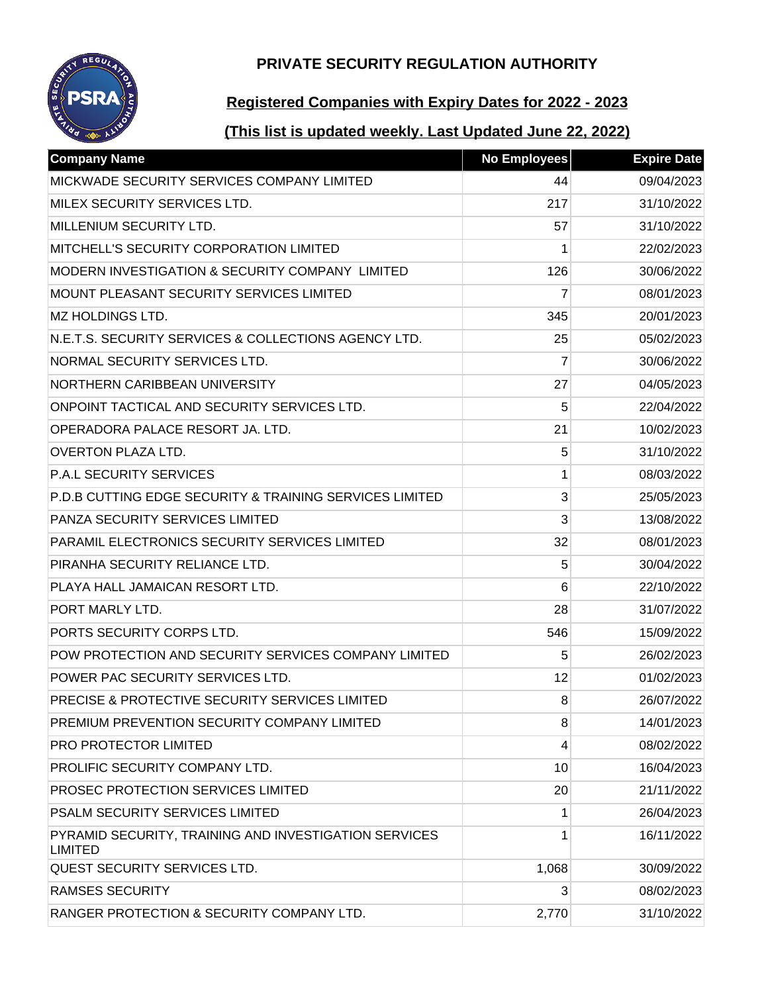

# **Registered Companies with Expiry Dates for 2022 - 2023**

| <b>Company Name</b>                                                     | <b>No Employees</b> | <b>Expire Date</b> |
|-------------------------------------------------------------------------|---------------------|--------------------|
| MICKWADE SECURITY SERVICES COMPANY LIMITED                              | 44                  | 09/04/2023         |
| MILEX SECURITY SERVICES LTD.                                            | 217                 | 31/10/2022         |
| MILLENIUM SECURITY LTD.                                                 | 57                  | 31/10/2022         |
| MITCHELL'S SECURITY CORPORATION LIMITED                                 | 1                   | 22/02/2023         |
| MODERN INVESTIGATION & SECURITY COMPANY LIMITED                         | 126                 | 30/06/2022         |
| MOUNT PLEASANT SECURITY SERVICES LIMITED                                | $\overline{7}$      | 08/01/2023         |
| <b>MZ HOLDINGS LTD.</b>                                                 | 345                 | 20/01/2023         |
| N.E.T.S. SECURITY SERVICES & COLLECTIONS AGENCY LTD.                    | 25                  | 05/02/2023         |
| NORMAL SECURITY SERVICES LTD.                                           | $\overline{7}$      | 30/06/2022         |
| NORTHERN CARIBBEAN UNIVERSITY                                           | 27                  | 04/05/2023         |
| ONPOINT TACTICAL AND SECURITY SERVICES LTD.                             | 5                   | 22/04/2022         |
| OPERADORA PALACE RESORT JA. LTD.                                        | 21                  | 10/02/2023         |
| <b>OVERTON PLAZA LTD.</b>                                               | 5                   | 31/10/2022         |
| P.A.L SECURITY SERVICES                                                 | 1                   | 08/03/2022         |
| P.D.B CUTTING EDGE SECURITY & TRAINING SERVICES LIMITED                 | 3                   | 25/05/2023         |
| PANZA SECURITY SERVICES LIMITED                                         | 3                   | 13/08/2022         |
| PARAMIL ELECTRONICS SECURITY SERVICES LIMITED                           | 32                  | 08/01/2023         |
| PIRANHA SECURITY RELIANCE LTD.                                          | 5                   | 30/04/2022         |
| PLAYA HALL JAMAICAN RESORT LTD.                                         | 6                   | 22/10/2022         |
| PORT MARLY LTD.                                                         | 28                  | 31/07/2022         |
| PORTS SECURITY CORPS LTD.                                               | 546                 | 15/09/2022         |
| POW PROTECTION AND SECURITY SERVICES COMPANY LIMITED                    | 5                   | 26/02/2023         |
| POWER PAC SECURITY SERVICES LTD.                                        | 12                  | 01/02/2023         |
| PRECISE & PROTECTIVE SECURITY SERVICES LIMITED                          | 8                   | 26/07/2022         |
| PREMIUM PREVENTION SECURITY COMPANY LIMITED                             | 8                   | 14/01/2023         |
| PRO PROTECTOR LIMITED                                                   | 4                   | 08/02/2022         |
| PROLIFIC SECURITY COMPANY LTD.                                          | 10                  | 16/04/2023         |
| <b>PROSEC PROTECTION SERVICES LIMITED</b>                               | 20                  | 21/11/2022         |
| PSALM SECURITY SERVICES LIMITED                                         | 1                   | 26/04/2023         |
| PYRAMID SECURITY, TRAINING AND INVESTIGATION SERVICES<br><b>LIMITED</b> | 1                   | 16/11/2022         |
| <b>QUEST SECURITY SERVICES LTD.</b>                                     | 1,068               | 30/09/2022         |
| <b>RAMSES SECURITY</b>                                                  | 3                   | 08/02/2023         |
| RANGER PROTECTION & SECURITY COMPANY LTD.                               | 2,770               | 31/10/2022         |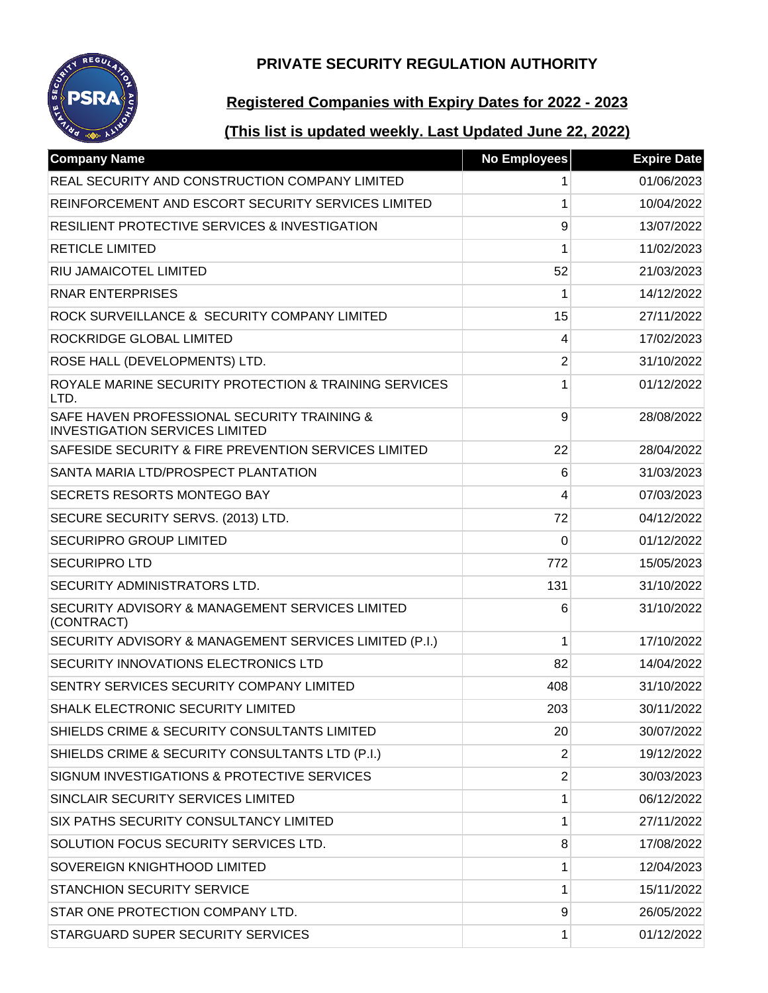

# **Registered Companies with Expiry Dates for 2022 - 2023**

| <b>Company Name</b>                                                                  | <b>No Employees</b> | <b>Expire Date</b> |
|--------------------------------------------------------------------------------------|---------------------|--------------------|
| REAL SECURITY AND CONSTRUCTION COMPANY LIMITED                                       | 1                   | 01/06/2023         |
| REINFORCEMENT AND ESCORT SECURITY SERVICES LIMITED                                   | 1                   | 10/04/2022         |
| <b>RESILIENT PROTECTIVE SERVICES &amp; INVESTIGATION</b>                             | 9                   | 13/07/2022         |
| <b>RETICLE LIMITED</b>                                                               | 1                   | 11/02/2023         |
| RIU JAMAICOTEL LIMITED                                                               | 52                  | 21/03/2023         |
| <b>RNAR ENTERPRISES</b>                                                              | 1                   | 14/12/2022         |
| ROCK SURVEILLANCE & SECURITY COMPANY LIMITED                                         | 15                  | 27/11/2022         |
| ROCKRIDGE GLOBAL LIMITED                                                             | 4                   | 17/02/2023         |
| ROSE HALL (DEVELOPMENTS) LTD.                                                        | $\overline{2}$      | 31/10/2022         |
| ROYALE MARINE SECURITY PROTECTION & TRAINING SERVICES<br>LTD.                        | 1                   | 01/12/2022         |
| SAFE HAVEN PROFESSIONAL SECURITY TRAINING &<br><b>INVESTIGATION SERVICES LIMITED</b> | 9                   | 28/08/2022         |
| SAFESIDE SECURITY & FIRE PREVENTION SERVICES LIMITED                                 | 22                  | 28/04/2022         |
| SANTA MARIA LTD/PROSPECT PLANTATION                                                  | 6                   | 31/03/2023         |
| <b>SECRETS RESORTS MONTEGO BAY</b>                                                   | 4                   | 07/03/2023         |
| SECURE SECURITY SERVS. (2013) LTD.                                                   | 72                  | 04/12/2022         |
| <b>SECURIPRO GROUP LIMITED</b>                                                       | 0                   | 01/12/2022         |
| <b>SECURIPRO LTD</b>                                                                 | 772                 | 15/05/2023         |
| SECURITY ADMINISTRATORS LTD.                                                         | 131                 | 31/10/2022         |
| SECURITY ADVISORY & MANAGEMENT SERVICES LIMITED<br>(CONTRACT)                        | 6                   | 31/10/2022         |
| SECURITY ADVISORY & MANAGEMENT SERVICES LIMITED (P.I.)                               | 1                   | 17/10/2022         |
| <b>SECURITY INNOVATIONS ELECTRONICS LTD</b>                                          | 82                  | 14/04/2022         |
| SENTRY SERVICES SECURITY COMPANY LIMITED                                             | 408                 | 31/10/2022         |
| SHALK ELECTRONIC SECURITY LIMITED                                                    | 203                 | 30/11/2022         |
| SHIELDS CRIME & SECURITY CONSULTANTS LIMITED                                         | 20                  | 30/07/2022         |
| SHIELDS CRIME & SECURITY CONSULTANTS LTD (P.I.)                                      | 2                   | 19/12/2022         |
| SIGNUM INVESTIGATIONS & PROTECTIVE SERVICES                                          | $\overline{2}$      | 30/03/2023         |
| SINCLAIR SECURITY SERVICES LIMITED                                                   | 1                   | 06/12/2022         |
| SIX PATHS SECURITY CONSULTANCY LIMITED                                               | 1                   | 27/11/2022         |
| SOLUTION FOCUS SECURITY SERVICES LTD.                                                | 8                   | 17/08/2022         |
| SOVEREIGN KNIGHTHOOD LIMITED                                                         | 1                   | 12/04/2023         |
| <b>STANCHION SECURITY SERVICE</b>                                                    | 1                   | 15/11/2022         |
| STAR ONE PROTECTION COMPANY LTD.                                                     | 9                   | 26/05/2022         |
| STARGUARD SUPER SECURITY SERVICES                                                    | 1                   | 01/12/2022         |